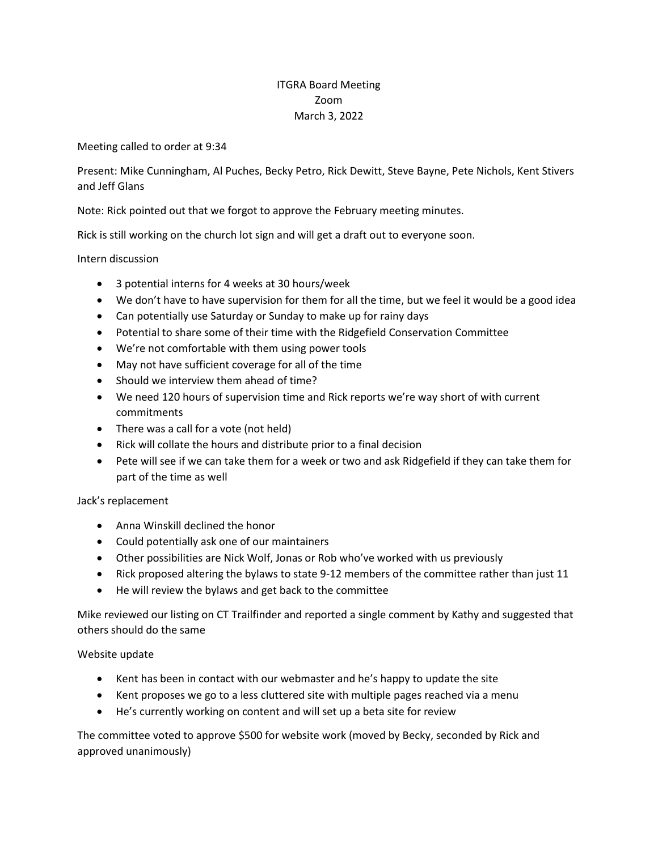## ITGRA Board Meeting Zoom March 3, 2022

Meeting called to order at 9:34

Present: Mike Cunningham, Al Puches, Becky Petro, Rick Dewitt, Steve Bayne, Pete Nichols, Kent Stivers and Jeff Glans

Note: Rick pointed out that we forgot to approve the February meeting minutes.

Rick is still working on the church lot sign and will get a draft out to everyone soon.

Intern discussion

- 3 potential interns for 4 weeks at 30 hours/week
- We don't have to have supervision for them for all the time, but we feel it would be a good idea
- Can potentially use Saturday or Sunday to make up for rainy days
- Potential to share some of their time with the Ridgefield Conservation Committee
- We're not comfortable with them using power tools
- May not have sufficient coverage for all of the time
- Should we interview them ahead of time?
- We need 120 hours of supervision time and Rick reports we're way short of with current commitments
- There was a call for a vote (not held)
- Rick will collate the hours and distribute prior to a final decision
- Pete will see if we can take them for a week or two and ask Ridgefield if they can take them for part of the time as well

Jack's replacement

- Anna Winskill declined the honor
- Could potentially ask one of our maintainers
- Other possibilities are Nick Wolf, Jonas or Rob who've worked with us previously
- Rick proposed altering the bylaws to state 9-12 members of the committee rather than just 11
- He will review the bylaws and get back to the committee

Mike reviewed our listing on CT Trailfinder and reported a single comment by Kathy and suggested that others should do the same

## Website update

- Kent has been in contact with our webmaster and he's happy to update the site
- Kent proposes we go to a less cluttered site with multiple pages reached via a menu
- He's currently working on content and will set up a beta site for review

The committee voted to approve \$500 for website work (moved by Becky, seconded by Rick and approved unanimously)